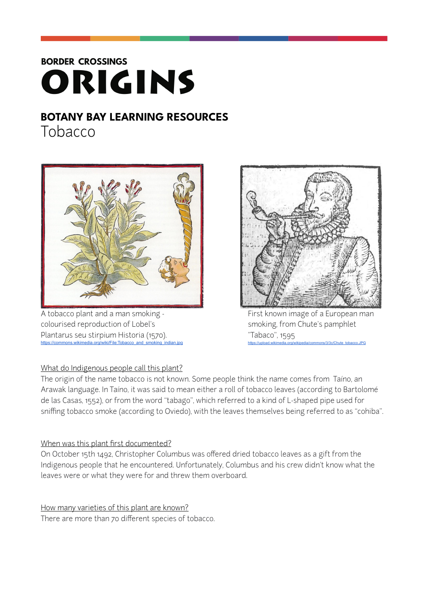# **BORDER CROSSINGS** ORIGINS

## **BOTANY BAY LEARNING RESOURCES**

Tobacco



A tobacco plant and a man smoking - The Mannieum of First known image of a European man colourised reproduction of Lobel's strategy of the smoking, from Chute's pamphlet Plantarus seu stirpium Historia (1570). "Tabaco", 1595 [https://commons.wikimedia.org/wiki/File:Tobacco\\_and\\_smoking\\_indian.jpg](https://commons.wikimedia.org/wiki/File:Tobacco_and_smoking_indian.jpg) https://upload.wikimedia.org/wikipedia/commons/3/3c/Chute\_tobacco.JPG

### What do Indigenous people call this plant?

The origin of the name tobacco is not known. Some people think the name comes from Taíno, an Arawak language. In Taíno, it was said to mean either a roll of tobacco leaves (according to Bartolomé de las Casas, 1552), or from the word "tabago", which referred to a kind of L-shaped pipe used for sniffing tobacco smoke (according to Oviedo), with the leaves themselves being referred to as "cohiba".

### When was this plant first documented?

On October 15th 1492, Christopher Columbus was offered dried tobacco leaves as a gift from the Indigenous people that he encountered. Unfortunately, Columbus and his crew didn't know what the leaves were or what they were for and threw them overboard.

How many varieties of this plant are known? There are more than 70 different species of tobacco.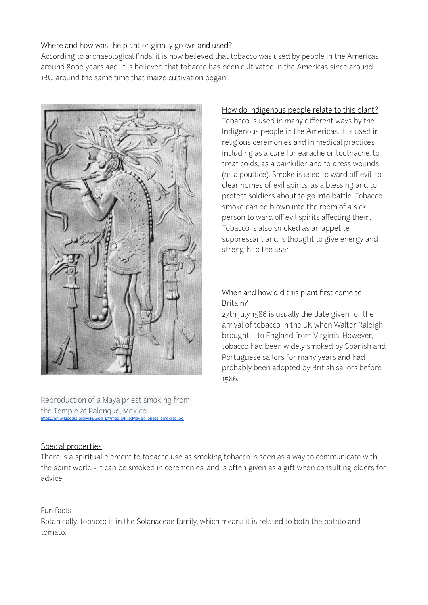#### Where and how was the plant originally grown and used?

According to archaeological finds, it is now believed that tobacco was used by people in the Americas around 8000 years ago. It is believed that tobacco has been cultivated in the Americas since around 1BC, around the same time that maize cultivation began.



Reproduction of a Maya priest smoking from the Temple at Palenque, Mexico. https://en.wikipedia.org/wiki/God\_L#/media/File:Mayan\_priest

How do Indigenous people relate to this plant? Tobacco is used in many different ways by the Indigenous people in the Americas. It is used in religious ceremonies and in medical practices including as a cure for earache or toothache, to treat colds, as a painkiller and to dress wounds (as a poultice). Smoke is used to ward off evil, to clear homes of evil spirits, as a blessing and to protect soldiers about to go into battle. Tobacco smoke can be blown into the room of a sick person to ward off evil spirits affecting them. Tobacco is also smoked as an appetite suppressant and is thought to give energy and strength to the user.

#### When and how did this plant first come to Britain?

27th July 1586 is usually the date given for the arrival of tobacco in the UK when Walter Raleigh brought it to England from Virginia. However, tobacco had been widely smoked by Spanish and Portuguese sailors for many years and had probably been adopted by British sailors before 1586.

#### Special properties

There is a spiritual element to tobacco use as smoking tobacco is seen as a way to communicate with the spirit world - it can be smoked in ceremonies, and is often given as a gift when consulting elders for advice.

#### Fun facts

Botanically, tobacco is in the Solanaceae family, which means it is related to both the potato and tomato.